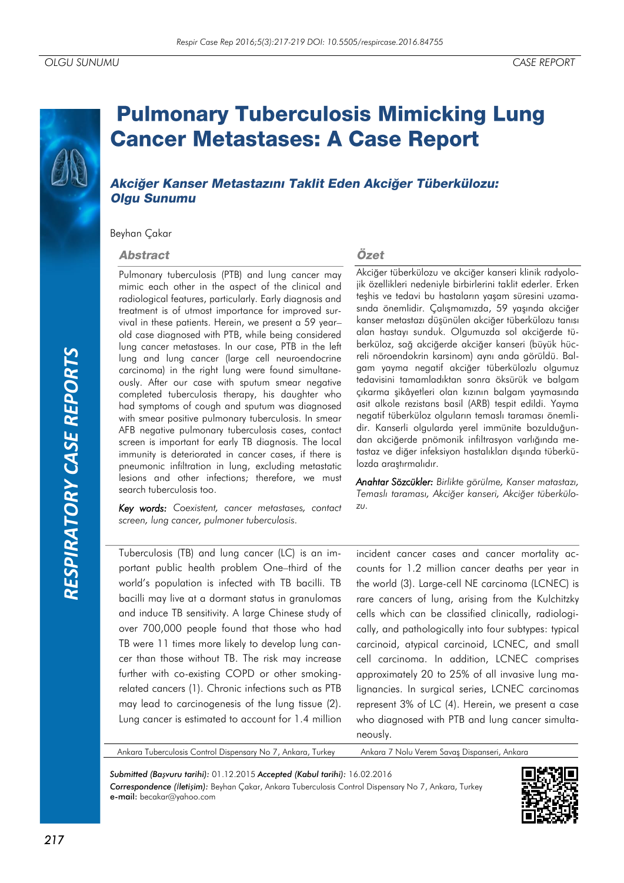# *RESPIRATORY CASE REPORTS*RESPIRATORY CASE REPORTS

# **Pulmonary Tuberculosis Mimicking Lung Cancer Metastases: A Case Report**

## Akciğer Kanser Metastazını Taklit Eden Akciğer Tüberkülozu: **Olgu Sunumu**

Beyhan Çakar

### **Abstract**

Pulmonary tuberculosis (PTB) and lung cancer may mimic each other in the aspect of the clinical and radiological features, particularly. Early diagnosis and treatment is of utmost importance for improved survival in these patients. Herein, we present a 59 year– old case diagnosed with PTB, while being considered lung cancer metastases. In our case, PTB in the left lung and lung cancer (large cell neuroendocrine carcinoma) in the right lung were found simultaneously. After our case with sputum smear negative completed tuberculosis therapy, his daughter who had symptoms of cough and sputum was diagnosed with smear positive pulmonary tuberculosis. In smear AFB negative pulmonary tuberculosis cases, contact screen is important for early TB diagnosis. The local immunity is deteriorated in cancer cases, if there is pneumonic infiltration in lung, excluding metastatic lesions and other infections; therefore, we must search tuberculosis too.

*Key words: Coexistent, cancer metastases, contact screen, lung cancer, pulmoner tuberculosis.*

### Özet

Akciğer tüberkülozu ve akciğer kanseri klinik radyolojik özellikleri nedeniyle birbirlerini taklit ederler. Erken teşhis ve tedavi bu hastaların yaşam süresini uzamasında önemlidir. Çalışmamızda, 59 yaşında akciğer kanser metastazı düşünülen akciğer tüberkülozu tanısı alan hastayı sunduk. Olgumuzda sol akciğerde tüberküloz, sağ akciğerde akciğer kanseri (büyük hücreli nöroendokrin karsinom) aynı anda görüldü. Balgam yayma negatif akciğer tüberkülozlu olgumuz tedavisini tamamladıktan sonra öksürük ve balgam çıkarma şikâyetleri olan kızının balgam yaymasında asit alkole rezistans basil (ARB) tespit edildi. Yayma negatif tüberküloz olguların temaslı taraması önemlidir. Kanserli olgularda yerel immünite bozulduğundan akciğerde pnömonik infiltrasyon varlığında metastaz ve diğer infeksiyon hastalıkları dışında tüberkülozda araştırmalıdır.

*Anahtar Sözcükler: Birlikte görülme, Kanser matastazı, Temaslı taraması, Akciğer kanseri, Akciğer tüberkülozu.*

Tuberculosis (TB) and lung cancer (LC) is an important public health problem One–third of the world's population is infected with TB bacilli. TB bacilli may live at a dormant status in granulomas and induce TB sensitivity. A large Chinese study of over 700,000 people found that those who had TB were 11 times more likely to develop lung cancer than those without TB. The risk may increase further with co-existing COPD or other smokingrelated cancers (1). Chronic infections such as PTB may lead to carcinogenesis of the lung tissue (2). Lung cancer is estimated to account for 1.4 million

incident cancer cases and cancer mortality accounts for 1.2 million cancer deaths per year in the world (3). Large-cell NE carcinoma (LCNEC) is rare cancers of lung, arising from the Kulchitzky cells which can be classified clinically, radiologically, and pathologically into four subtypes: typical carcinoid, atypical carcinoid, LCNEC, and small cell carcinoma. In addition, LCNEC comprises approximately 20 to 25% of all invasive lung malignancies. In surgical series, LCNEC carcinomas represent 3% of LC (4). Herein, we present a case who diagnosed with PTB and lung cancer simultaneously.

Ankara Tuberculosis Control Dispensary No 7, Ankara, Turkey Ankara 7 Nolu Verem Savaş Dispanseri, Ankara

*Submitted (Başvuru tarihi):* 01.12.2015 *Accepted (Kabul tarihi):* 16.02.2016 *Correspondence (İletişim):* Beyhan Çakar, Ankara Tuberculosis Control Dispensary No 7, Ankara, Turkey e-mail: becakar@yahoo.com

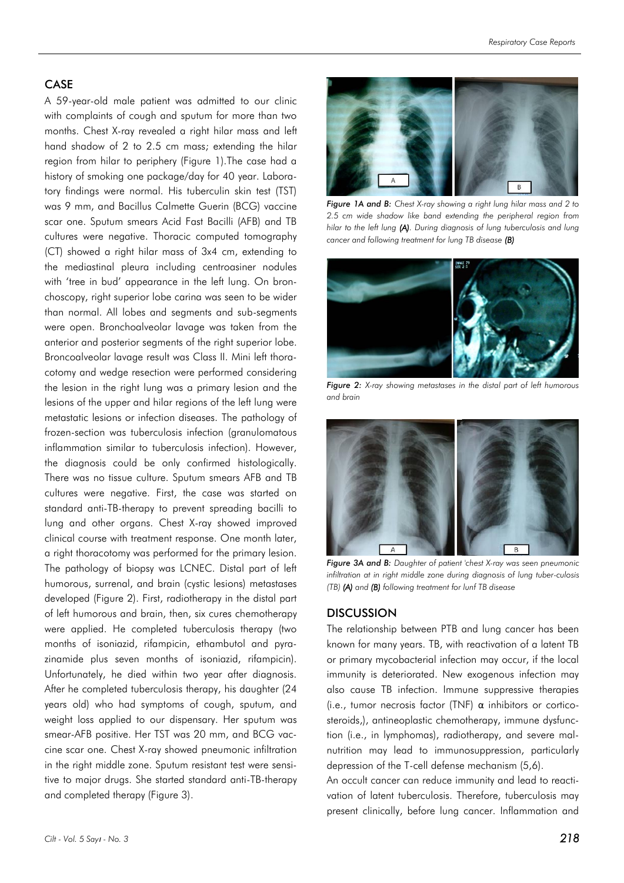### CASE

A 59-year-old male patient was admitted to our clinic with complaints of cough and sputum for more than two months. Chest X-ray revealed a right hilar mass and left hand shadow of 2 to 2.5 cm mass; extending the hilar region from hilar to periphery (Figure 1).The case had a history of smoking one package/day for 40 year. Laboratory findings were normal. His tuberculin skin test (TST) was 9 mm, and Bacillus Calmette Guerin (BCG) vaccine scar one. Sputum smears Acid Fast Bacilli (AFB) and TB cultures were negative. Thoracic computed tomography (CT) showed a right hilar mass of 3x4 cm, extending to the mediastinal pleura including centroasiner nodules with 'tree in bud' appearance in the left lung. On bronchoscopy, right superior lobe carina was seen to be wider than normal. All lobes and segments and sub-segments were open. Bronchoalveolar lavage was taken from the anterior and posterior segments of the right superior lobe. Broncoalveolar lavage result was Class II. Mini left thoracotomy and wedge resection were performed considering the lesion in the right lung was a primary lesion and the lesions of the upper and hilar regions of the left lung were metastatic lesions or infection diseases. The pathology of frozen-section was tuberculosis infection (granulomatous inflammation similar to tuberculosis infection). However, the diagnosis could be only confirmed histologically. There was no tissue culture. Sputum smears AFB and TB cultures were negative. First, the case was started on standard anti-TB-therapy to prevent spreading bacilli to lung and other organs. Chest X-ray showed improved clinical course with treatment response. One month later, a right thoracotomy was performed for the primary lesion. The pathology of biopsy was LCNEC. Distal part of left humorous, surrenal, and brain (cystic lesions) metastases developed (Figure 2). First, radiotherapy in the distal part of left humorous and brain, then, six cures chemotherapy were applied. He completed tuberculosis therapy (two months of isoniazid, rifampicin, ethambutol and pyrazinamide plus seven months of isoniazid, rifampicin). Unfortunately, he died within two year after diagnosis. After he completed tuberculosis therapy, his daughter (24 years old) who had symptoms of cough, sputum, and weight loss applied to our dispensary. Her sputum was smear-AFB positive. Her TST was 20 mm, and BCG vaccine scar one. Chest X-ray showed pneumonic infiltration in the right middle zone. Sputum resistant test were sensitive to major drugs. She started standard anti-TB-therapy and completed therapy (Figure 3).



*Figure 1A and B: Chest X-ray showing a right lung hilar mass and 2 to 2.5 cm wide shadow like band extending the peripheral region from hilar to the left lung (A). During diagnosis of lung tuberculosis and lung cancer and following treatment for lung TB disease (B)*



*Figure 2: X-ray showing metastases in the distal part of left humorous and brain*



*Figure 3A and B: Daughter of patient 'chest X-ray was seen pneumonic infiltration at in right middle zone during diagnosis of lung tuber-culosis (TB) (A) and (B) following treatment for lunf TB disease*

### **DISCUSSION**

The relationship between PTB and lung cancer has been known for many years. TB, with reactivation of a latent TB or primary mycobacterial infection may occur, if the local immunity is deteriorated. New exogenous infection may also cause TB infection. Immune suppressive therapies (i.e., tumor necrosis factor (TNF) α inhibitors or corticosteroids,), antineoplastic chemotherapy, immune dysfunction (i.e., in lymphomas), radiotherapy, and severe malnutrition may lead to immunosuppression, particularly depression of the T-cell defense mechanism (5,6).

An occult cancer can reduce immunity and lead to reactivation of latent tuberculosis. Therefore, tuberculosis may present clinically, before lung cancer. Inflammation and